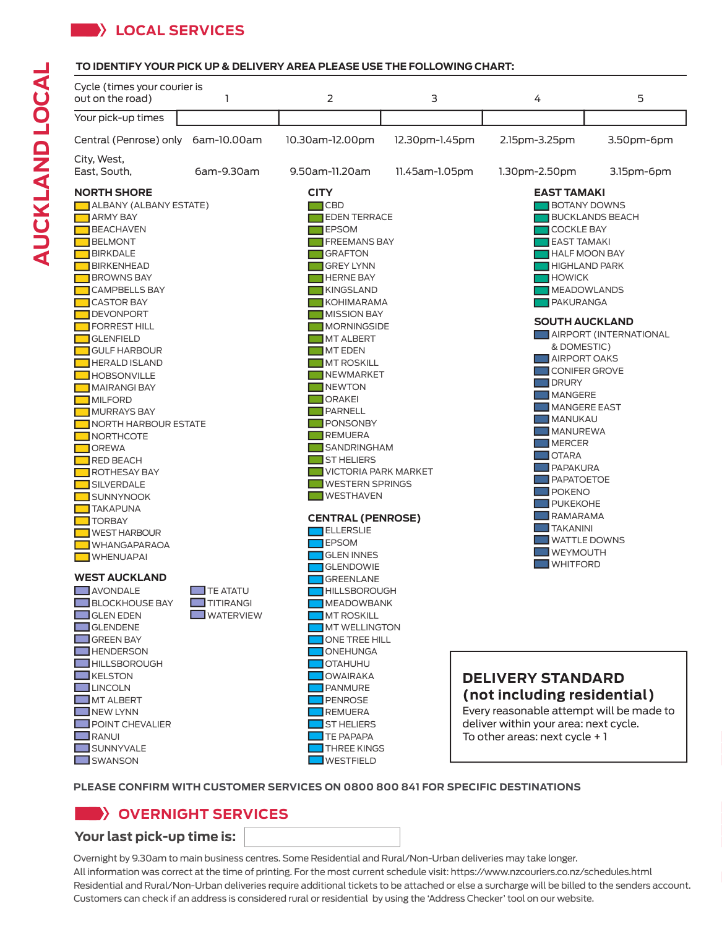# **LOCAL SERVICES**

### **TO IDENTIFY YOUR PICK UP & DELIVERY AREA PLEASE USE THE FOLLOWING CHART:**



#### **PLEASE CONFIRM WITH CUSTOMER SERVICES ON 0800 800 841 FOR SPECIFIC DESTINATIONS**

## **OVERNIGHT SERVICES**

## **Your last pick-up time is:**

Overnight by 9.30am to main business centres. Some Residential and Rural/Non-Urban deliveries may take longer. All information was correct at the time of printing. For the most current schedule visit: https://www.nzcouriers.co.nz/schedules.html Residential and Rural/Non-Urban deliveries require additional tickets to be attached or else a surcharge will be billed to the senders account. Customers can check if an address is considered rural or residential by using the 'Address Checker' tool on our website.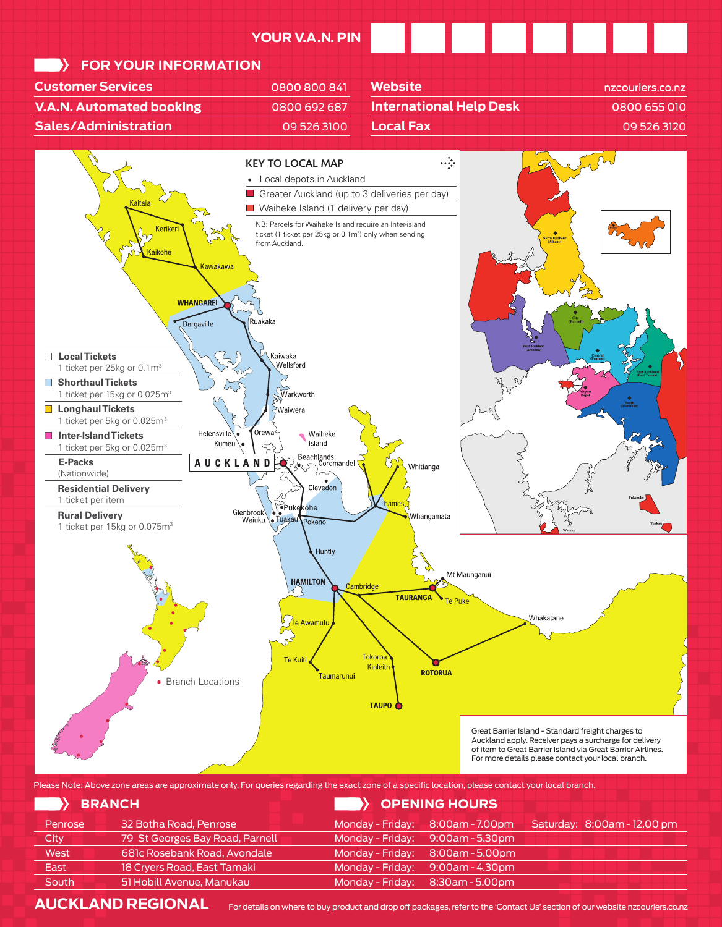

Branch Locations

Great Barrier Island - Standard freight charges to Auckland apply. Receiver pays a surcharge for delivery of item to Great Barrier Island via Great Barrier Airlines. For more details please contact your local branch.

Please Note: Above zone areas are approximate only, For queries regarding the exact zone of a specific location, please contact your local branch.

Taumarunui

**TAUPO** 

| > BRANCH |                                 |                    | > OPENING HOURS                  |                             |
|----------|---------------------------------|--------------------|----------------------------------|-----------------------------|
| Penrose  | 32 Botha Road, Penrose          | Monday - Friday:   | 8:00am - 7.00pm                  | Saturday: 8:00am - 12.00 pm |
| City     | 79 St Georges Bay Road, Parnell | Monday - Friday:   | $9:00$ am - 5.30pm               |                             |
| West     | 681c Rosebank Road, Avondale    | Monday - Friday: ˈ | 8:00am - 5.00pm                  |                             |
| East     | 18 Cryers Road, East Tamaki     |                    | Monday - Friday: 9:00am - 4.30pm |                             |
| South    | 51 Hobill Avenue, Manukau       | Monday - Friday:   | 8:30am - 5.00pm                  |                             |
|          |                                 |                    |                                  |                             |

AUCKLAND REGIONAL For details on where to buy product and drop off packages, refer to the 'Contact Us' section of our website nzcouriers.co.nz

**ROTORUA**